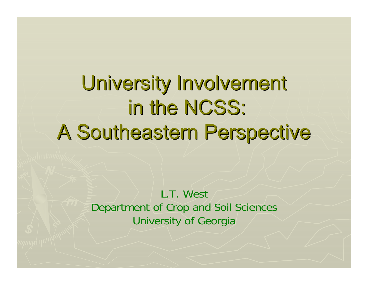University Involvement in the NCSS: A Southeastern Perspective A Southeastern Perspective

> L.T. WestDepartment of Crop and Soil Sciences University of Georgia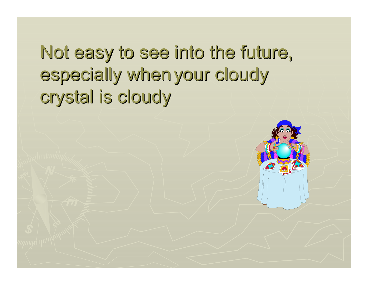Not easy to see into the future, especially when your cloudy crystal is cloudy

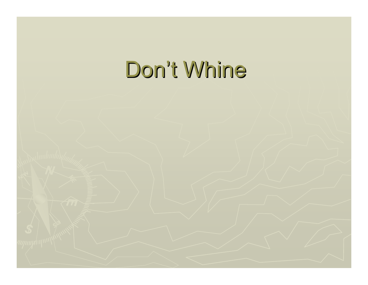# Don't Whine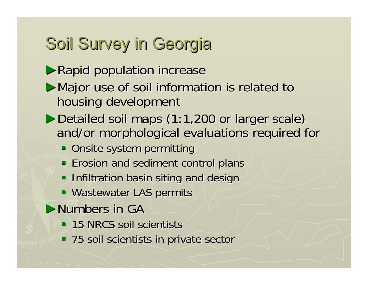## Soil Survey in Georgia

- ▶Rapid population increase
- ▶Major use of soil information is related to housing development
- ►Detailed soil maps (1:1,200 or larger scale) and/or morphological evaluations required for
	- **Onsite system permitting**
	- **Example 20 Erosion and sediment control plans**
	- **Infiltration basin siting and design and siting**
	- **Wastewater LAS permits**
- $\blacktriangleright$ Numbers in GA
	- **15 NRCS soil scientists**
	- 75 soil scientists in private sector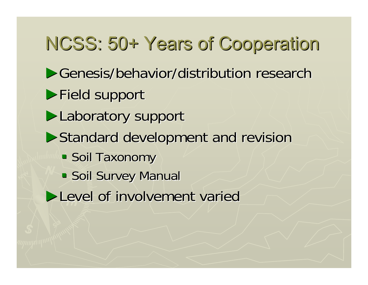# NCSS: 50+ Years of Cooperation NCSS: 50+ Years of Cooperation

- ▶Genesis/behavior/distribution research
- ▶Field support
- ▶Laboratory support
- ▶Standard development and revision
	- Soil Taxonomy
	- **Soil Survey Manual**
- ►Level of involvement varied Level of involvement varied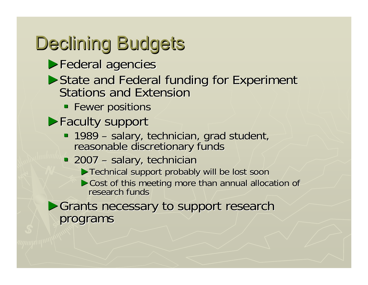# Declining Budgets

- ▶Federal agencies
- ► State and Federal funding for Experiment<br>Stations and Extension
	- **Fewer positions**
- ▶Faculty support
	- $-1989-$ 1989 – salary, technician, grad student,<br>reasonable discretionary funds
	- $-2007 -$ - salary, technician
		- ▶Technical support probably will be lost soon
		- $\triangleright$  Cost of this meeting more than annual allocation of research funds
- ▶Grants necessary to support research programs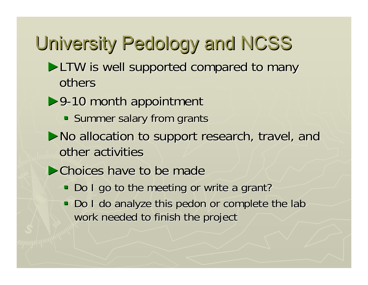# University Pedology and NCSS University Pedology and NCSS

- ►LTW is well supported compared to many others
- ▶9-10 month appointment
	- Summer salary from grants
- ▶No allocation to support research, travel, and other activities
- $\triangleright$ Choices have to be made
	- Do I go to the meeting or write a grant?
	- Do I do analyze this pedon or complete the lab work needed to finish the project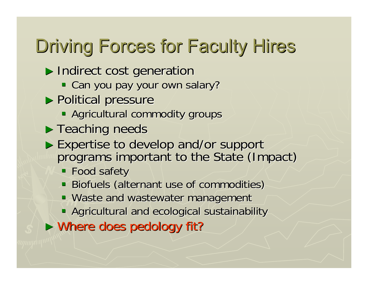# Driving Forces for Faculty Hires

- ▶ Indirect cost generation
	- Can you pay your own salary?
- ▶ Political pressure
	- **Agricultural commodity groups**
- $\blacktriangleright$  Teaching needs
- Expertise to develop and/or support programs important to the State (Impact)
	- **Food safety**
	- Biofuels (alternant use of commodities)
	- **Waste and wastewater management**
	- **Agricultural and ecological sustainability**
- ► Where does pedology fit?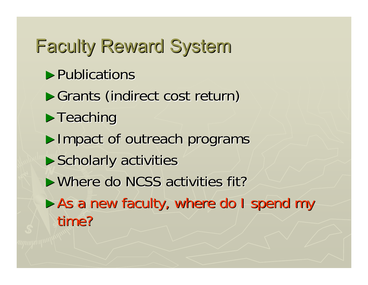$\blacktriangleright$  Publications ►Grants (indirect cost return)  $\blacktriangleright$ Teaching ► Impact of outreach programs  $\blacktriangleright$  Scholarly activities ► Where do NCSS activities fit? ► As a new faculty, where do I spend my time? Faculty Reward System Faculty Reward System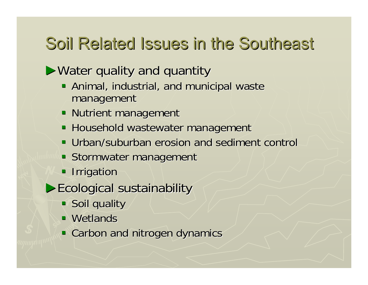## Soil Related Issues in the Southeast

 $\triangleright$  Water quality and quantity

- **Animal, industrial, and municipal wastelly** management management
- **Nutrient management**
- **Household wastewater management**
- Urban/suburban erosion and sediment control Urban/suburban erosion and sediment control
- **Stormwater management**
- **Irrigation**
- ►Ecological sustainability Ecological sustainability
	- Soil quality
	- $\blacksquare$  Wetlands
	- **Carbon and nitrogen dynamics**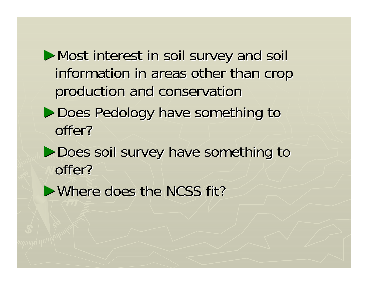▶Most interest in soil survey and soil information in areas other than crop production and conservation production and conservation

- ▶Does Pedology have something to offer?
- ▶Does soil survey have something to offer?
- $\triangleright$  Where does the NCSS fit?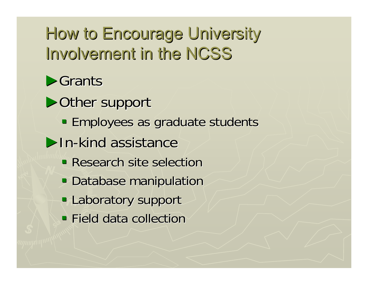## How to Encourage University Involvement in the NCSS

►Grants

▶ Other support

**Employees as graduate students** 

 $\blacktriangleright$ In-kind assistance

- **Research site selection**
- **Database manipulation**
- **Laboratory support**
- $\blacksquare$  Field data collection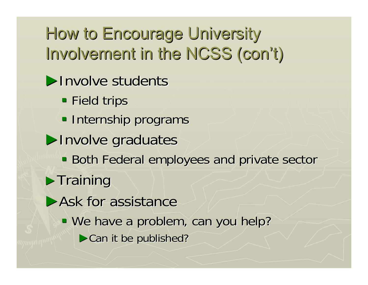How to Encourage University Involvement in the NCSS (con't)

- ▶ Involve students
	- **Field trips**
	- **Internship programs**
- ▶ Involve graduates
	- **Both Federal employees and private sector**
- $\blacktriangleright$  Training
- $\blacktriangleright$  Ask for assistance
	- We have a problem, can you help?
		- $\triangleright$  Can it be published?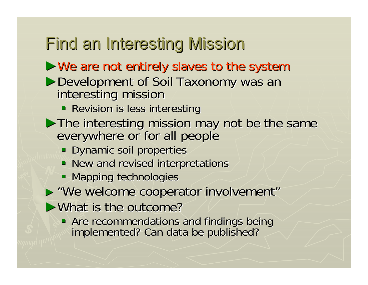## Find an Interesting Mission

#### $\triangleright$  We are not entirely slaves to the system

# ▶Development of Soil Taxonomy was an interesting mission

- **Revision is less interesting**
- ► The interesting mission may not be the same everywhere or for all people
	- **Dynamic soil properties**
	- New and revised interpretations
	- **Mapping technologies**
- ► "We welcome cooperator involvement"
- $\blacktriangleright$  What is the outcome?
	- Are recommendations and findings being implemented? Can data be published?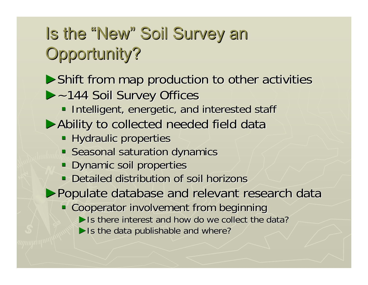## Is the "New" Soil Survey an Opportunity?

 $\triangleright$  Shift from map production to other activities

#### ►~144 Soil Survey Offices ~144 Soil Survey Offices

- **Intelligent, energetic, and interested staff**
- ▶ Ability to collected needed field data
	- **Hydraulic properties**
	- **Seasonal saturation dynamics**
	- **Dynamic soil properties**
	- Detailed distribution of soil horizons

▶Populate database and relevant research data

- **Cooperator involvement from beginning** 
	- $\blacktriangleright$  Is there interest and how do we collect the data?
	- $\blacktriangleright$  Is the data publishable and where?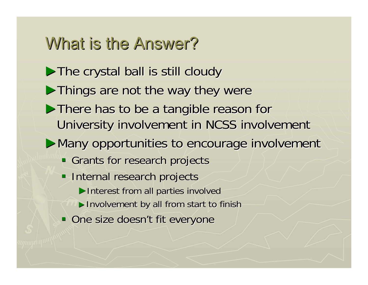### What is the Answer?

- $\triangleright$  The crystal ball is still cloudy
- $\blacktriangleright$  Things are not the way they were
- ▶There has to be a tangible reason for University involvement in NCSS involvement
- ▶Many opportunities to encourage involvement
	- Grants for research projects
	- **Internal research projects** ▶ Interest from all parties involved ▶ Involvement by all from start to finish One size doesn't fit everyone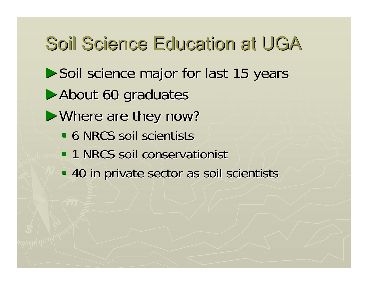▶Soil science major for last 15 years ▶ About 60 graduates  $\blacktriangleright$  Where are they now? **6 NRCS soil scientists 1 NRCS soil conservationist**  40 in private sector as soil scientists 40 in private sector as soil scientists Soil Science Education at UGA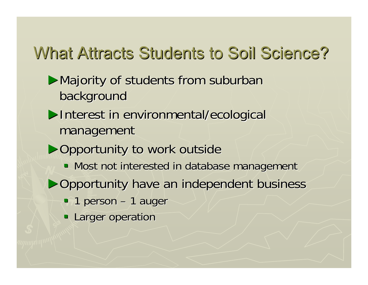## What Attracts Students to Soil Science?

#### ▶Majority of students from suburban background

- ▶Interest in environmental/ecological management
- ▶Opportunity to work outside
	- $\blacksquare$  Most not interested in database management
- ▶Opportunity have an independent business
	- $\blacksquare$  1 person 1 auger
	- **Larger operation**